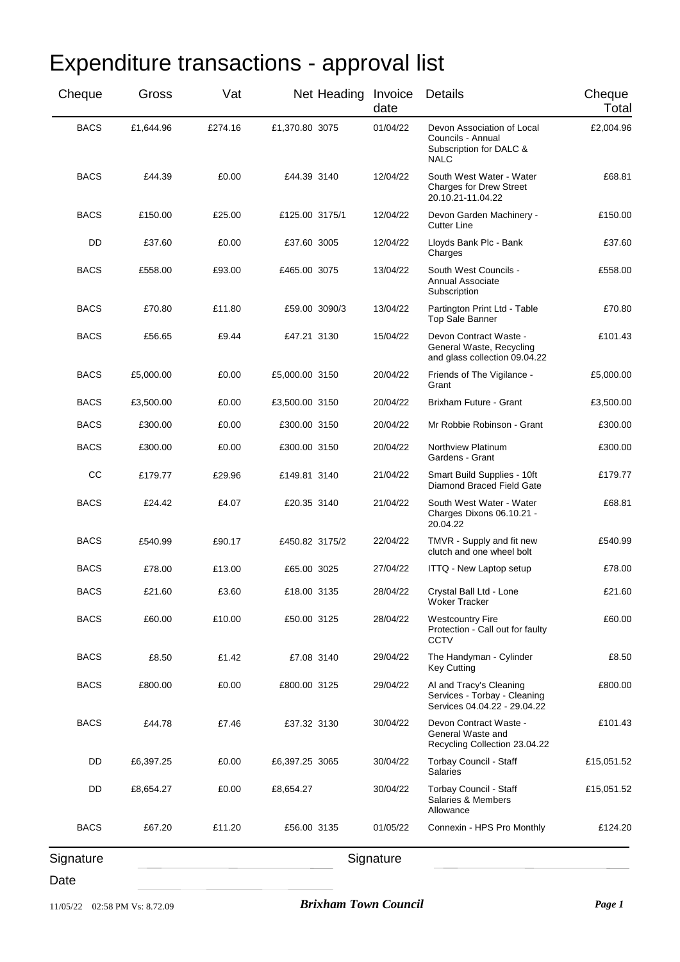| Cheque<br>Total | Details                                                                                   | date      | Net Heading Invoice |                | Vat     | Gross     | Cheque      |
|-----------------|-------------------------------------------------------------------------------------------|-----------|---------------------|----------------|---------|-----------|-------------|
| £2,004.96       | Devon Association of Local<br>Councils - Annual<br>Subscription for DALC &<br><b>NALC</b> | 01/04/22  |                     | £1,370.80 3075 | £274.16 | £1,644.96 | <b>BACS</b> |
| £68.81          | South West Water - Water<br><b>Charges for Drew Street</b><br>20.10.21-11.04.22           | 12/04/22  |                     | £44.39 3140    | £0.00   | £44.39    | <b>BACS</b> |
| £150.00         | Devon Garden Machinery -<br><b>Cutter Line</b>                                            | 12/04/22  |                     | £125.00 3175/1 | £25.00  | £150.00   | <b>BACS</b> |
| £37.60          | Lloyds Bank Plc - Bank<br>Charges                                                         | 12/04/22  |                     | £37.60 3005    | £0.00   | £37.60    | DD          |
| £558.00         | South West Councils -<br><b>Annual Associate</b><br>Subscription                          | 13/04/22  |                     | £465.00 3075   | £93.00  | £558.00   | BACS        |
| £70.80          | Partington Print Ltd - Table<br>Top Sale Banner                                           | 13/04/22  | £59.00 3090/3       |                | £11.80  | £70.80    | <b>BACS</b> |
| £101.43         | Devon Contract Waste -<br>General Waste, Recycling<br>and glass collection 09.04.22       | 15/04/22  |                     | £47.21 3130    | £9.44   | £56.65    | <b>BACS</b> |
| £5,000.00       | Friends of The Vigilance -<br>Grant                                                       | 20/04/22  |                     | £5,000.00 3150 | £0.00   | £5,000.00 | BACS        |
| £3,500.00       | Brixham Future - Grant                                                                    | 20/04/22  |                     | £3,500.00 3150 | £0.00   | £3,500.00 | BACS        |
| £300.00         | Mr Robbie Robinson - Grant                                                                | 20/04/22  |                     | £300.00 3150   | £0.00   | £300.00   | <b>BACS</b> |
| £300.00         | Northview Platinum<br>Gardens - Grant                                                     | 20/04/22  |                     | £300.00 3150   | £0.00   | £300.00   | <b>BACS</b> |
| £179.77         | Smart Build Supplies - 10ft<br>Diamond Braced Field Gate                                  | 21/04/22  |                     | £149.81 3140   | £29.96  | £179.77   | CC          |
| £68.81          | South West Water - Water<br>Charges Dixons 06.10.21 -<br>20.04.22                         | 21/04/22  |                     | £20.35 3140    | £4.07   | £24.42    | <b>BACS</b> |
| £540.99         | TMVR - Supply and fit new<br>clutch and one wheel bolt                                    | 22/04/22  |                     | £450.82 3175/2 | £90.17  | £540.99   | <b>BACS</b> |
| £78.00          | ITTQ - New Laptop setup                                                                   | 27/04/22  |                     | £65.00 3025    | £13.00  | £78.00    | <b>BACS</b> |
| £21.60          | Crystal Ball Ltd - Lone<br><b>Woker Tracker</b>                                           | 28/04/22  |                     | £18.00 3135    | £3.60   | £21.60    | <b>BACS</b> |
| £60.00          | <b>Westcountry Fire</b><br>Protection - Call out for faulty<br><b>CCTV</b>                | 28/04/22  |                     | £50.00 3125    | £10.00  | £60.00    | <b>BACS</b> |
| £8.50           | The Handyman - Cylinder<br><b>Key Cutting</b>                                             | 29/04/22  |                     | £7.08 3140     | £1.42   | £8.50     | <b>BACS</b> |
| £800.00         | Al and Tracy's Cleaning<br>Services - Torbay - Cleaning<br>Services 04.04.22 - 29.04.22   | 29/04/22  |                     | £800.00 3125   | £0.00   | £800.00   | <b>BACS</b> |
| £101.43         | Devon Contract Waste -<br>General Waste and<br>Recycling Collection 23.04.22              | 30/04/22  |                     | £37.32 3130    | £7.46   | £44.78    | <b>BACS</b> |
| £15,051.52      | Torbay Council - Staff<br><b>Salaries</b>                                                 | 30/04/22  |                     | £6,397.25 3065 | £0.00   | £6,397.25 | DD          |
| £15,051.52      | Torbay Council - Staff<br>Salaries & Members<br>Allowance                                 | 30/04/22  |                     | £8,654.27      | £0.00   | £8,654.27 | DD          |
| £124.20         | Connexin - HPS Pro Monthly                                                                | 01/05/22  |                     | £56.00 3135    | £11.20  | £67.20    | <b>BACS</b> |
|                 |                                                                                           | Signature |                     |                |         |           | Signature   |

## Expenditure transactions - approval list

Signature

Signature

Date